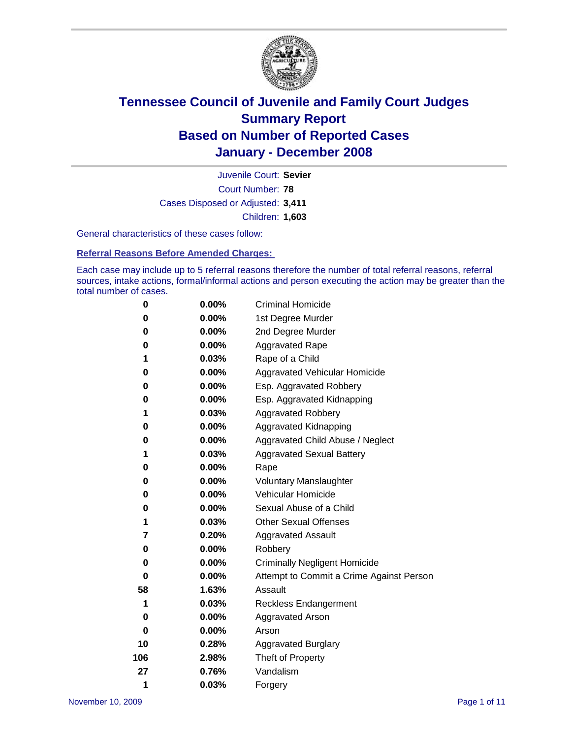

Court Number: **78** Juvenile Court: **Sevier** Cases Disposed or Adjusted: **3,411** Children: **1,603**

General characteristics of these cases follow:

**Referral Reasons Before Amended Charges:** 

Each case may include up to 5 referral reasons therefore the number of total referral reasons, referral sources, intake actions, formal/informal actions and person executing the action may be greater than the total number of cases.

| 0   | $0.00\%$ | <b>Criminal Homicide</b>                 |
|-----|----------|------------------------------------------|
| 0   | 0.00%    | 1st Degree Murder                        |
| 0   | $0.00\%$ | 2nd Degree Murder                        |
| 0   | 0.00%    | <b>Aggravated Rape</b>                   |
| 1   | 0.03%    | Rape of a Child                          |
| 0   | $0.00\%$ | Aggravated Vehicular Homicide            |
| 0   | 0.00%    | Esp. Aggravated Robbery                  |
| 0   | $0.00\%$ | Esp. Aggravated Kidnapping               |
| 1   | 0.03%    | <b>Aggravated Robbery</b>                |
| 0   | $0.00\%$ | Aggravated Kidnapping                    |
| 0   | $0.00\%$ | Aggravated Child Abuse / Neglect         |
| 1   | 0.03%    | <b>Aggravated Sexual Battery</b>         |
| 0   | 0.00%    | Rape                                     |
| 0   | 0.00%    | <b>Voluntary Manslaughter</b>            |
| 0   | 0.00%    | Vehicular Homicide                       |
| 0   | 0.00%    | Sexual Abuse of a Child                  |
| 1   | 0.03%    | <b>Other Sexual Offenses</b>             |
| 7   | 0.20%    | <b>Aggravated Assault</b>                |
| 0   | 0.00%    | Robbery                                  |
| 0   | 0.00%    | <b>Criminally Negligent Homicide</b>     |
| 0   | 0.00%    | Attempt to Commit a Crime Against Person |
| 58  | 1.63%    | Assault                                  |
| 1   | 0.03%    | <b>Reckless Endangerment</b>             |
| 0   | 0.00%    | <b>Aggravated Arson</b>                  |
| 0   | 0.00%    | Arson                                    |
| 10  | 0.28%    | <b>Aggravated Burglary</b>               |
| 106 | 2.98%    | Theft of Property                        |
| 27  | 0.76%    | Vandalism                                |
| 1   | 0.03%    | Forgery                                  |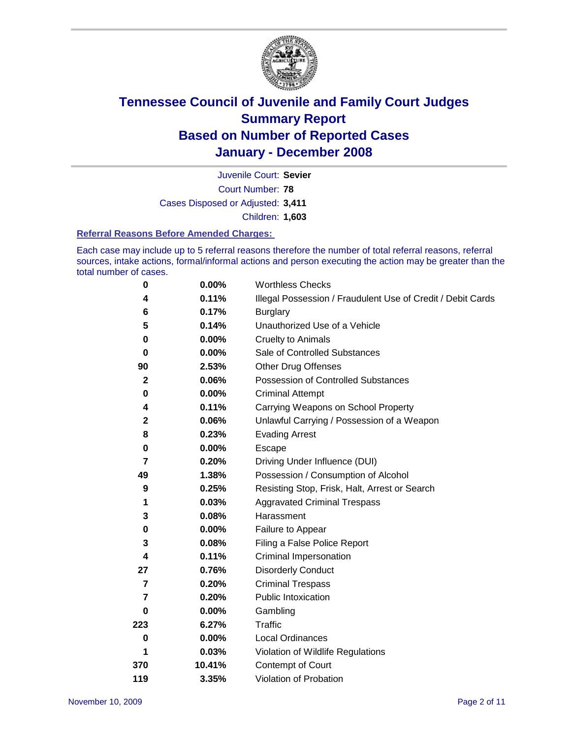

Court Number: **78** Juvenile Court: **Sevier** Cases Disposed or Adjusted: **3,411** Children: **1,603**

#### **Referral Reasons Before Amended Charges:**

Each case may include up to 5 referral reasons therefore the number of total referral reasons, referral sources, intake actions, formal/informal actions and person executing the action may be greater than the total number of cases.

| 0              | 0.00%  | <b>Worthless Checks</b>                                     |
|----------------|--------|-------------------------------------------------------------|
| 4              | 0.11%  | Illegal Possession / Fraudulent Use of Credit / Debit Cards |
| 6              | 0.17%  | <b>Burglary</b>                                             |
| 5              | 0.14%  | Unauthorized Use of a Vehicle                               |
| 0              | 0.00%  | <b>Cruelty to Animals</b>                                   |
| 0              | 0.00%  | Sale of Controlled Substances                               |
| 90             | 2.53%  | <b>Other Drug Offenses</b>                                  |
| $\mathbf{2}$   | 0.06%  | <b>Possession of Controlled Substances</b>                  |
| 0              | 0.00%  | <b>Criminal Attempt</b>                                     |
| 4              | 0.11%  | Carrying Weapons on School Property                         |
| $\mathbf 2$    | 0.06%  | Unlawful Carrying / Possession of a Weapon                  |
| 8              | 0.23%  | <b>Evading Arrest</b>                                       |
| 0              | 0.00%  | Escape                                                      |
| 7              | 0.20%  | Driving Under Influence (DUI)                               |
| 49             | 1.38%  | Possession / Consumption of Alcohol                         |
| 9              | 0.25%  | Resisting Stop, Frisk, Halt, Arrest or Search               |
| 1              | 0.03%  | <b>Aggravated Criminal Trespass</b>                         |
| 3              | 0.08%  | Harassment                                                  |
| $\bf{0}$       | 0.00%  | Failure to Appear                                           |
| 3              | 0.08%  | Filing a False Police Report                                |
| 4              | 0.11%  | Criminal Impersonation                                      |
| 27             | 0.76%  | <b>Disorderly Conduct</b>                                   |
| $\overline{7}$ | 0.20%  | <b>Criminal Trespass</b>                                    |
| 7              | 0.20%  | <b>Public Intoxication</b>                                  |
| 0              | 0.00%  | Gambling                                                    |
| 223            | 6.27%  | Traffic                                                     |
| $\bf{0}$       | 0.00%  | Local Ordinances                                            |
| 1              | 0.03%  | Violation of Wildlife Regulations                           |
| 370            | 10.41% | Contempt of Court                                           |
| 119            | 3.35%  | Violation of Probation                                      |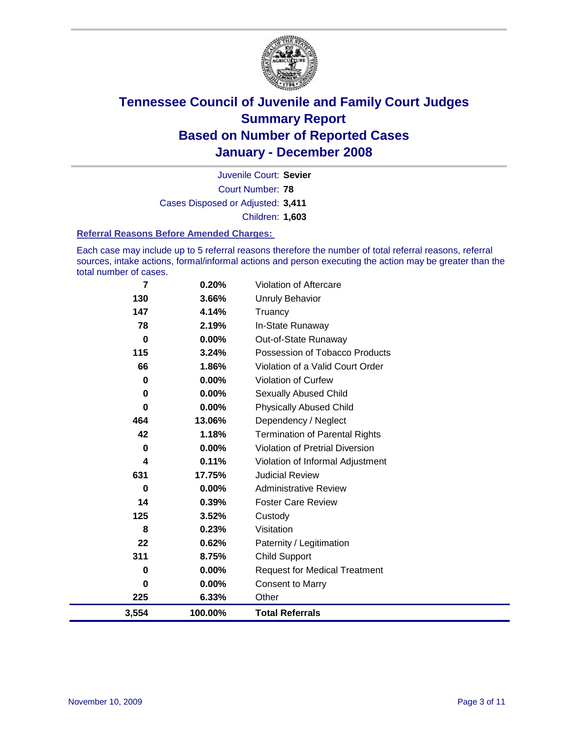

Court Number: **78** Juvenile Court: **Sevier** Cases Disposed or Adjusted: **3,411** Children: **1,603**

#### **Referral Reasons Before Amended Charges:**

Each case may include up to 5 referral reasons therefore the number of total referral reasons, referral sources, intake actions, formal/informal actions and person executing the action may be greater than the total number of cases.

| 7     | 0.20%    | Violation of Aftercare                 |
|-------|----------|----------------------------------------|
| 130   | 3.66%    | <b>Unruly Behavior</b>                 |
| 147   | 4.14%    | Truancy                                |
| 78    | 2.19%    | In-State Runaway                       |
| 0     | 0.00%    | Out-of-State Runaway                   |
| 115   | 3.24%    | Possession of Tobacco Products         |
| 66    | 1.86%    | Violation of a Valid Court Order       |
| 0     | 0.00%    | <b>Violation of Curfew</b>             |
| 0     | 0.00%    | Sexually Abused Child                  |
| 0     | 0.00%    | <b>Physically Abused Child</b>         |
| 464   | 13.06%   | Dependency / Neglect                   |
| 42    | 1.18%    | <b>Termination of Parental Rights</b>  |
| 0     | $0.00\%$ | <b>Violation of Pretrial Diversion</b> |
| 4     | 0.11%    | Violation of Informal Adjustment       |
| 631   | 17.75%   | <b>Judicial Review</b>                 |
| 0     | $0.00\%$ | <b>Administrative Review</b>           |
| 14    | 0.39%    | <b>Foster Care Review</b>              |
| 125   | 3.52%    | Custody                                |
| 8     | 0.23%    | Visitation                             |
| 22    | 0.62%    | Paternity / Legitimation               |
| 311   | 8.75%    | <b>Child Support</b>                   |
| 0     | 0.00%    | <b>Request for Medical Treatment</b>   |
| 0     | 0.00%    | <b>Consent to Marry</b>                |
| 225   | 6.33%    | Other                                  |
| 3,554 | 100.00%  | <b>Total Referrals</b>                 |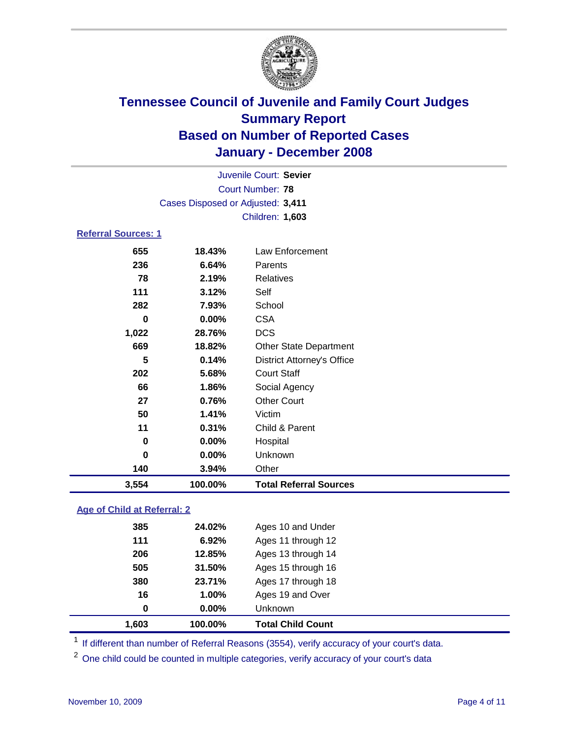

|                            |                                   | Juvenile Court: Sevier            |  |
|----------------------------|-----------------------------------|-----------------------------------|--|
|                            |                                   | Court Number: 78                  |  |
|                            | Cases Disposed or Adjusted: 3,411 |                                   |  |
|                            |                                   | Children: 1,603                   |  |
| <b>Referral Sources: 1</b> |                                   |                                   |  |
| 655                        | 18.43%                            | Law Enforcement                   |  |
| 236                        | 6.64%                             | Parents                           |  |
| 78                         | 2.19%                             | Relatives                         |  |
| 111                        | 3.12%                             | Self                              |  |
| 282                        | 7.93%                             | School                            |  |
| 0                          | $0.00\%$                          | <b>CSA</b>                        |  |
| 1,022                      | 28.76%                            | <b>DCS</b>                        |  |
| 669                        | 18.82%                            | <b>Other State Department</b>     |  |
| 5                          | 0.14%                             | <b>District Attorney's Office</b> |  |
| 202                        | 5.68%                             | <b>Court Staff</b>                |  |
| 66                         | 1.86%                             | Social Agency                     |  |
| 27                         | 0.76%                             | <b>Other Court</b>                |  |
| 50                         | 1.41%                             | Victim                            |  |
| 11                         | 0.31%                             | Child & Parent                    |  |
| 0                          | $0.00\%$                          | Hospital                          |  |
| 0                          | $0.00\%$                          | Unknown                           |  |

### **Age of Child at Referral: 2**

**140 3.94%** Other

**3,554 100.00% Total Referral Sources**

| 1.603 | 100.00%  | <b>Total Child Count</b> |
|-------|----------|--------------------------|
| 0     | $0.00\%$ | <b>Unknown</b>           |
| 16    | 1.00%    | Ages 19 and Over         |
| 380   | 23.71%   | Ages 17 through 18       |
| 505   | 31.50%   | Ages 15 through 16       |
| 206   | 12.85%   | Ages 13 through 14       |
| 111   | 6.92%    | Ages 11 through 12       |
| 385   | 24.02%   | Ages 10 and Under        |
|       |          |                          |

<sup>1</sup> If different than number of Referral Reasons (3554), verify accuracy of your court's data.

<sup>2</sup> One child could be counted in multiple categories, verify accuracy of your court's data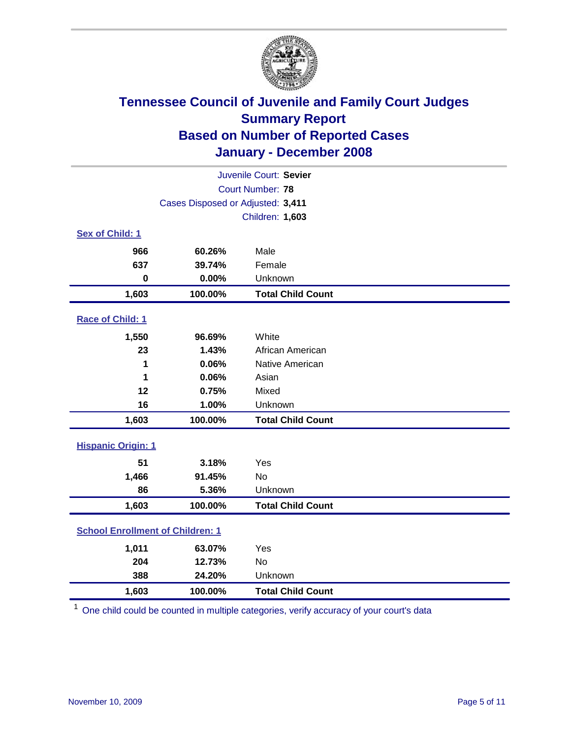

| Juvenile Court: Sevier                  |                                   |                          |  |  |  |
|-----------------------------------------|-----------------------------------|--------------------------|--|--|--|
| Court Number: 78                        |                                   |                          |  |  |  |
|                                         | Cases Disposed or Adjusted: 3,411 |                          |  |  |  |
|                                         |                                   | Children: 1,603          |  |  |  |
| Sex of Child: 1                         |                                   |                          |  |  |  |
| 966                                     | 60.26%                            | Male                     |  |  |  |
| 637                                     | 39.74%                            | Female                   |  |  |  |
| $\bf{0}$                                | 0.00%                             | Unknown                  |  |  |  |
| 1,603                                   | 100.00%                           | <b>Total Child Count</b> |  |  |  |
| Race of Child: 1                        |                                   |                          |  |  |  |
| 1,550                                   | 96.69%                            | White                    |  |  |  |
| 23                                      | 1.43%                             | African American         |  |  |  |
| 1                                       | 0.06%                             | Native American          |  |  |  |
| 1                                       | 0.06%                             | Asian                    |  |  |  |
| 12                                      | 0.75%                             | Mixed                    |  |  |  |
| 16                                      | 1.00%                             | Unknown                  |  |  |  |
| 1,603                                   | 100.00%                           | <b>Total Child Count</b> |  |  |  |
| <b>Hispanic Origin: 1</b>               |                                   |                          |  |  |  |
| 51                                      | 3.18%                             | Yes                      |  |  |  |
| 1,466                                   | 91.45%                            | No                       |  |  |  |
| 86                                      | 5.36%                             | Unknown                  |  |  |  |
| 1,603                                   | 100.00%                           | <b>Total Child Count</b> |  |  |  |
| <b>School Enrollment of Children: 1</b> |                                   |                          |  |  |  |
| 1,011                                   | 63.07%                            | Yes                      |  |  |  |
| 204                                     | 12.73%                            | No                       |  |  |  |
| 388                                     | 24.20%                            | Unknown                  |  |  |  |
| 1,603                                   | 100.00%                           | <b>Total Child Count</b> |  |  |  |

<sup>1</sup> One child could be counted in multiple categories, verify accuracy of your court's data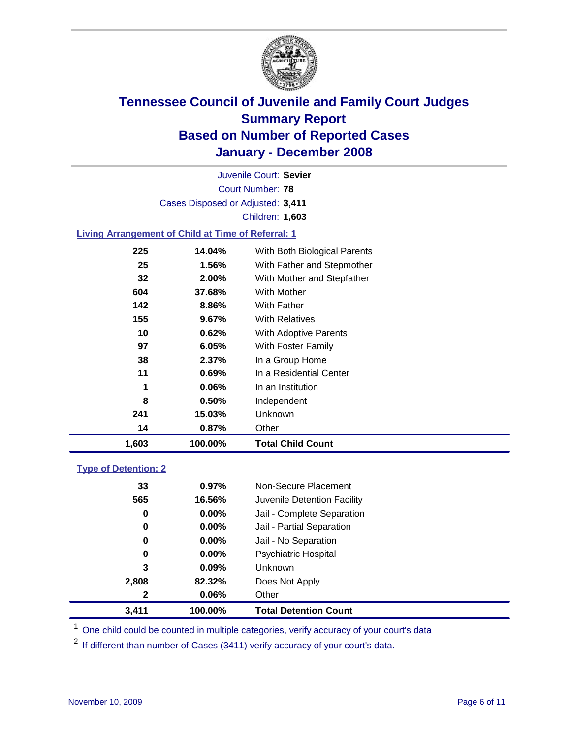

Court Number: **78** Juvenile Court: **Sevier** Cases Disposed or Adjusted: **3,411** Children: **1,603**

### **Living Arrangement of Child at Time of Referral: 1**

| 1,603 | 100.00%  | <b>Total Child Count</b>     |
|-------|----------|------------------------------|
| 14    | 0.87%    | Other                        |
| 241   | 15.03%   | Unknown                      |
| 8     | $0.50\%$ | Independent                  |
| 1     | 0.06%    | In an Institution            |
| 11    | 0.69%    | In a Residential Center      |
| 38    | $2.37\%$ | In a Group Home              |
| 97    | 6.05%    | With Foster Family           |
| 10    | 0.62%    | With Adoptive Parents        |
| 155   | 9.67%    | <b>With Relatives</b>        |
| 142   | 8.86%    | With Father                  |
| 604   | 37.68%   | With Mother                  |
| 32    | 2.00%    | With Mother and Stepfather   |
| 25    | 1.56%    | With Father and Stepmother   |
| 225   | 14.04%   | With Both Biological Parents |

#### **Type of Detention: 2**

| 3.411        | 100.00%  | <b>Total Detention Count</b> |  |
|--------------|----------|------------------------------|--|
| $\mathbf{2}$ | 0.06%    | Other                        |  |
| 2,808        | 82.32%   | Does Not Apply               |  |
| 3            | 0.09%    | Unknown                      |  |
| 0            | 0.00%    | <b>Psychiatric Hospital</b>  |  |
| 0            | $0.00\%$ | Jail - No Separation         |  |
| 0            | $0.00\%$ | Jail - Partial Separation    |  |
| 0            | $0.00\%$ | Jail - Complete Separation   |  |
| 565          | 16.56%   | Juvenile Detention Facility  |  |
| 33           | 0.97%    | Non-Secure Placement         |  |
|              |          |                              |  |

<sup>1</sup> One child could be counted in multiple categories, verify accuracy of your court's data

<sup>2</sup> If different than number of Cases (3411) verify accuracy of your court's data.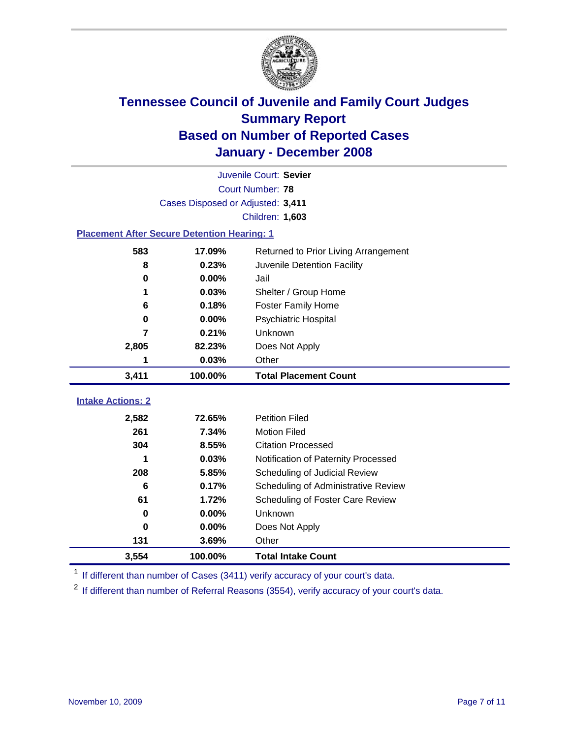

|                                                    | Juvenile Court: Sevier            |                                      |  |  |  |
|----------------------------------------------------|-----------------------------------|--------------------------------------|--|--|--|
| Court Number: 78                                   |                                   |                                      |  |  |  |
|                                                    | Cases Disposed or Adjusted: 3,411 |                                      |  |  |  |
|                                                    |                                   | Children: 1,603                      |  |  |  |
| <b>Placement After Secure Detention Hearing: 1</b> |                                   |                                      |  |  |  |
| 583                                                | 17.09%                            | Returned to Prior Living Arrangement |  |  |  |
| 8                                                  | 0.23%                             | Juvenile Detention Facility          |  |  |  |
| $\bf{0}$                                           | 0.00%                             | Jail                                 |  |  |  |
|                                                    | 0.03%                             | Shelter / Group Home                 |  |  |  |
| 6                                                  | 0.18%                             | <b>Foster Family Home</b>            |  |  |  |
| $\bf{0}$                                           | 0.00%                             | Psychiatric Hospital                 |  |  |  |
| 7                                                  | 0.21%                             | Unknown                              |  |  |  |
| 2,805                                              | 82.23%                            | Does Not Apply                       |  |  |  |
| 1                                                  | 0.03%                             | Other                                |  |  |  |
| 3,411                                              | 100.00%                           | <b>Total Placement Count</b>         |  |  |  |
|                                                    |                                   |                                      |  |  |  |
| <b>Intake Actions: 2</b>                           |                                   |                                      |  |  |  |
| 2,582                                              | 72.65%                            | <b>Petition Filed</b>                |  |  |  |
| 261                                                | 7.34%                             | <b>Motion Filed</b>                  |  |  |  |
| 304                                                | 8.55%                             | <b>Citation Processed</b>            |  |  |  |
|                                                    | 0.03%                             | Notification of Paternity Processed  |  |  |  |
| 208                                                | 5.85%                             | Scheduling of Judicial Review        |  |  |  |
| 6                                                  | 0.17%                             | Scheduling of Administrative Review  |  |  |  |
| 61                                                 |                                   |                                      |  |  |  |
|                                                    | 1.72%                             | Scheduling of Foster Care Review     |  |  |  |
| 0                                                  | 0.00%                             | Unknown                              |  |  |  |
| 0                                                  | 0.00%                             | Does Not Apply                       |  |  |  |
| 131                                                | 3.69%                             | Other                                |  |  |  |

<sup>1</sup> If different than number of Cases (3411) verify accuracy of your court's data.

<sup>2</sup> If different than number of Referral Reasons (3554), verify accuracy of your court's data.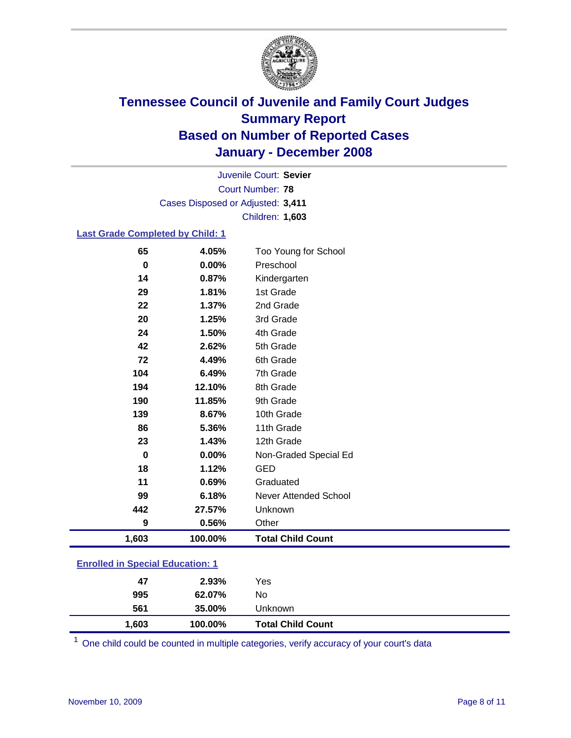

Court Number: **78** Juvenile Court: **Sevier** Cases Disposed or Adjusted: **3,411** Children: **1,603**

#### **Last Grade Completed by Child: 1**

| $\bf{0}$ | 0.00%    | Preschool                |
|----------|----------|--------------------------|
| 14       | 0.87%    | Kindergarten             |
| 29       | 1.81%    | 1st Grade                |
| 22       | 1.37%    | 2nd Grade                |
| 20       | 1.25%    | 3rd Grade                |
| 24       | 1.50%    | 4th Grade                |
| 42       | 2.62%    | 5th Grade                |
| 72       | 4.49%    | 6th Grade                |
| 104      | 6.49%    | 7th Grade                |
| 194      | 12.10%   | 8th Grade                |
| 190      | 11.85%   | 9th Grade                |
| 139      | 8.67%    | 10th Grade               |
| 86       | 5.36%    | 11th Grade               |
| 23       | 1.43%    | 12th Grade               |
| $\bf{0}$ | $0.00\%$ | Non-Graded Special Ed    |
| 18       | 1.12%    | <b>GED</b>               |
| 11       | 0.69%    | Graduated                |
| 99       | 6.18%    | Never Attended School    |
| 442      | 27.57%   | Unknown                  |
| 9        | 0.56%    | Other                    |
| 1,603    | 100.00%  | <b>Total Child Count</b> |

### **Enrolled in Special Education: 1**

| 995   | 62.07%  | No                       |  |
|-------|---------|--------------------------|--|
| 561   | 35.00%  | Unknown                  |  |
| 1,603 | 100.00% | <b>Total Child Count</b> |  |

<sup>1</sup> One child could be counted in multiple categories, verify accuracy of your court's data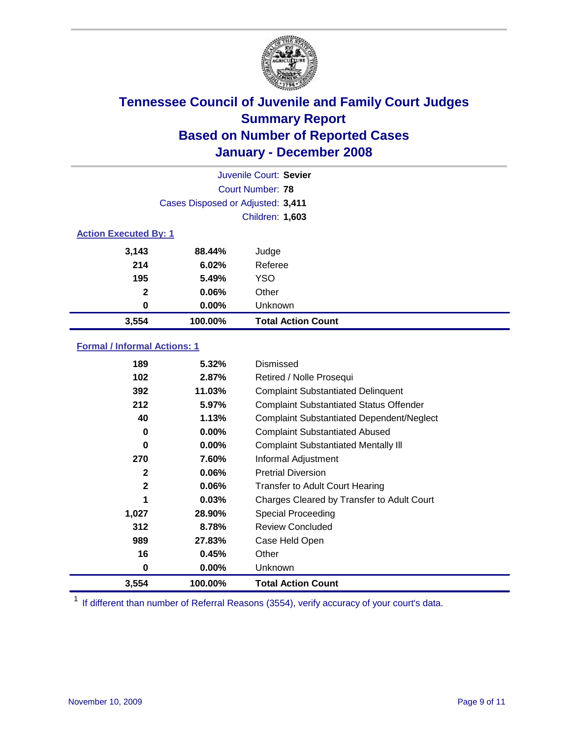

| Juvenile Court: Sevier       |                                   |                           |  |  |  |
|------------------------------|-----------------------------------|---------------------------|--|--|--|
|                              | Court Number: 78                  |                           |  |  |  |
|                              | Cases Disposed or Adjusted: 3,411 |                           |  |  |  |
|                              |                                   | Children: 1,603           |  |  |  |
| <b>Action Executed By: 1</b> |                                   |                           |  |  |  |
| 3,143                        | 88.44%                            | Judge                     |  |  |  |
| 214                          | 6.02%                             | Referee                   |  |  |  |
| 195                          | 5.49%                             | <b>YSO</b>                |  |  |  |
| $\mathbf{2}$                 | 0.06%                             | Other                     |  |  |  |
| 0                            | $0.00\%$                          | Unknown                   |  |  |  |
| 3,554                        | 100.00%                           | <b>Total Action Count</b> |  |  |  |

### **Formal / Informal Actions: 1**

| 189          | 5.32%    | Dismissed                                        |
|--------------|----------|--------------------------------------------------|
| 102          | 2.87%    | Retired / Nolle Prosequi                         |
| 392          | 11.03%   | <b>Complaint Substantiated Delinquent</b>        |
| 212          | 5.97%    | <b>Complaint Substantiated Status Offender</b>   |
| 40           | 1.13%    | <b>Complaint Substantiated Dependent/Neglect</b> |
| 0            | $0.00\%$ | <b>Complaint Substantiated Abused</b>            |
| 0            | $0.00\%$ | <b>Complaint Substantiated Mentally III</b>      |
| 270          | 7.60%    | Informal Adjustment                              |
| 2            | $0.06\%$ | <b>Pretrial Diversion</b>                        |
| $\mathbf{2}$ | 0.06%    | <b>Transfer to Adult Court Hearing</b>           |
| 1            | 0.03%    | Charges Cleared by Transfer to Adult Court       |
| 1,027        | 28.90%   | Special Proceeding                               |
| 312          | 8.78%    | <b>Review Concluded</b>                          |
| 989          | 27.83%   | Case Held Open                                   |
| 16           | 0.45%    | Other                                            |
| 0            | $0.00\%$ | <b>Unknown</b>                                   |
| 3,554        | 100.00%  | <b>Total Action Count</b>                        |

<sup>1</sup> If different than number of Referral Reasons (3554), verify accuracy of your court's data.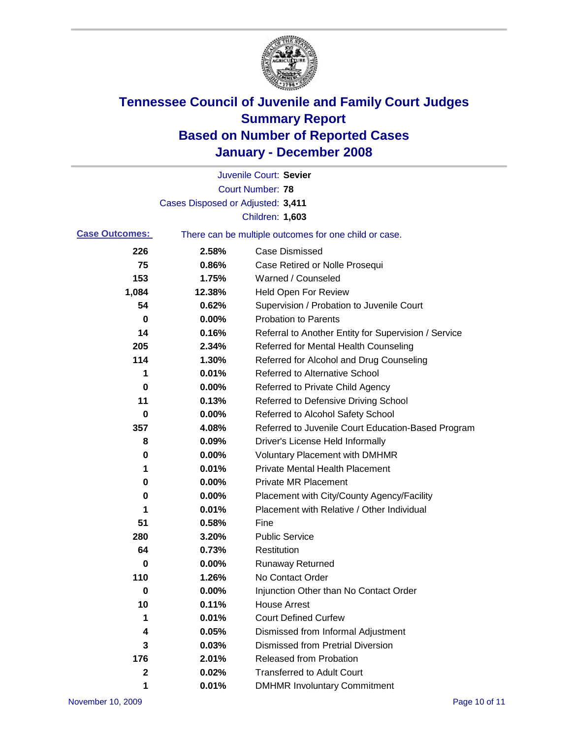

|                       |                                   | Juvenile Court: Sevier                                |
|-----------------------|-----------------------------------|-------------------------------------------------------|
|                       |                                   | <b>Court Number: 78</b>                               |
|                       | Cases Disposed or Adjusted: 3,411 |                                                       |
|                       |                                   | Children: 1,603                                       |
| <b>Case Outcomes:</b> |                                   | There can be multiple outcomes for one child or case. |
| 226                   | 2.58%                             | <b>Case Dismissed</b>                                 |
| 75                    | 0.86%                             | Case Retired or Nolle Prosequi                        |
| 153                   | 1.75%                             | Warned / Counseled                                    |
| 1,084                 | 12.38%                            | <b>Held Open For Review</b>                           |
| 54                    | 0.62%                             | Supervision / Probation to Juvenile Court             |
| 0                     | 0.00%                             | <b>Probation to Parents</b>                           |
| 14                    | 0.16%                             | Referral to Another Entity for Supervision / Service  |
| 205                   | 2.34%                             | Referred for Mental Health Counseling                 |
| 114                   | 1.30%                             | Referred for Alcohol and Drug Counseling              |
| 1                     | 0.01%                             | <b>Referred to Alternative School</b>                 |
| 0                     | 0.00%                             | Referred to Private Child Agency                      |
| 11                    | 0.13%                             | Referred to Defensive Driving School                  |
| 0                     | 0.00%                             | Referred to Alcohol Safety School                     |
| 357                   | 4.08%                             | Referred to Juvenile Court Education-Based Program    |
| 8                     | 0.09%                             | Driver's License Held Informally                      |
| 0                     | 0.00%                             | <b>Voluntary Placement with DMHMR</b>                 |
| 1                     | 0.01%                             | <b>Private Mental Health Placement</b>                |
| 0                     | 0.00%                             | Private MR Placement                                  |
| 0                     | 0.00%                             | Placement with City/County Agency/Facility            |
| 1                     | 0.01%                             | Placement with Relative / Other Individual            |
| 51                    | 0.58%                             | Fine                                                  |
| 280                   | 3.20%                             | <b>Public Service</b>                                 |
| 64                    | 0.73%                             | Restitution                                           |
| 0                     | 0.00%                             | <b>Runaway Returned</b>                               |
| 110                   | 1.26%                             | No Contact Order                                      |
| 0                     | 0.00%                             | Injunction Other than No Contact Order                |
| 10                    | 0.11%                             | <b>House Arrest</b>                                   |
| 1                     | 0.01%                             | <b>Court Defined Curfew</b>                           |
| 4                     | 0.05%                             | Dismissed from Informal Adjustment                    |
| 3                     | 0.03%                             | <b>Dismissed from Pretrial Diversion</b>              |
| 176                   | 2.01%                             | <b>Released from Probation</b>                        |
| 2                     | 0.02%                             | <b>Transferred to Adult Court</b>                     |
| 1                     | 0.01%                             | <b>DMHMR Involuntary Commitment</b>                   |